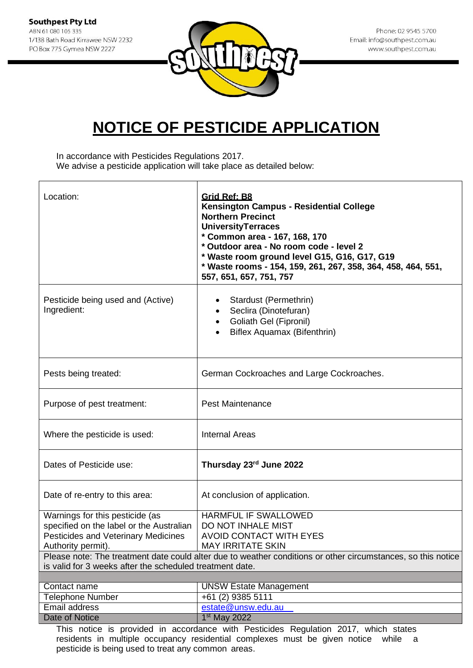

Phone: 02 9545 5700 Email: info@southpest.com.au www.southpest.com.au

## **NOTICE OF PESTICIDE APPLICATION**

In accordance with Pesticides Regulations 2017. We advise a pesticide application will take place as detailed below:

| Location:                                                                                                                                                                | Grid Ref: B8<br>Kensington Campus - Residential College<br><b>Northern Precinct</b><br><b>UniversityTerraces</b><br>* Common area - 167, 168, 170<br>* Outdoor area - No room code - level 2<br>* Waste room ground level G15, G16, G17, G19<br>* Waste rooms - 154, 159, 261, 267, 358, 364, 458, 464, 551,<br>557, 651, 657, 751, 757 |
|--------------------------------------------------------------------------------------------------------------------------------------------------------------------------|-----------------------------------------------------------------------------------------------------------------------------------------------------------------------------------------------------------------------------------------------------------------------------------------------------------------------------------------|
| Pesticide being used and (Active)<br>Ingredient:                                                                                                                         | Stardust (Permethrin)<br>Seclira (Dinotefuran)<br>Goliath Gel (Fipronil)<br>Biflex Aquamax (Bifenthrin)                                                                                                                                                                                                                                 |
| Pests being treated:                                                                                                                                                     | German Cockroaches and Large Cockroaches.                                                                                                                                                                                                                                                                                               |
| Purpose of pest treatment:                                                                                                                                               | <b>Pest Maintenance</b>                                                                                                                                                                                                                                                                                                                 |
| Where the pesticide is used:                                                                                                                                             | <b>Internal Areas</b>                                                                                                                                                                                                                                                                                                                   |
| Dates of Pesticide use:                                                                                                                                                  | Thursday 23rd June 2022                                                                                                                                                                                                                                                                                                                 |
| Date of re-entry to this area:                                                                                                                                           | At conclusion of application.                                                                                                                                                                                                                                                                                                           |
| Warnings for this pesticide (as<br>specified on the label or the Australian<br>Pesticides and Veterinary Medicines<br>Authority permit).                                 | <b>HARMFUL IF SWALLOWED</b><br>DO NOT INHALE MIST<br><b>AVOID CONTACT WITH EYES</b><br><b>MAY IRRITATE SKIN</b>                                                                                                                                                                                                                         |
| Please note: The treatment date could alter due to weather conditions or other circumstances, so this notice<br>is valid for 3 weeks after the scheduled treatment date. |                                                                                                                                                                                                                                                                                                                                         |
|                                                                                                                                                                          |                                                                                                                                                                                                                                                                                                                                         |
| Contact name                                                                                                                                                             | <b>UNSW Estate Management</b><br>+61 (2) 9385 5111                                                                                                                                                                                                                                                                                      |
| <b>Telephone Number</b><br>Email address                                                                                                                                 | estate@unsw.edu.au                                                                                                                                                                                                                                                                                                                      |
| Date of Notice                                                                                                                                                           | 1 <sup>st</sup> May 2022                                                                                                                                                                                                                                                                                                                |
|                                                                                                                                                                          | This notice is provided in accordance with Pesticides Regulation 2017, which states                                                                                                                                                                                                                                                     |

residents in multiple occupancy residential complexes must be given notice while a pesticide is being used to treat any common areas.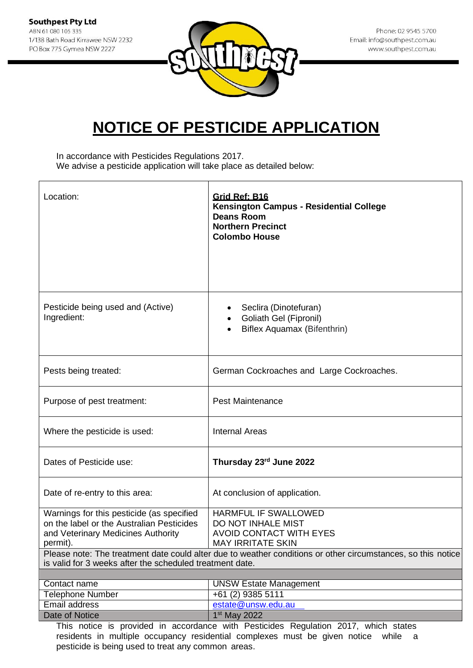

Phone: 02 9545 5700 Email: info@southpest.com.au www.southpest.com.au

### **NOTICE OF PESTICIDE APPLICATION**

In accordance with Pesticides Regulations 2017. We advise a pesticide application will take place as detailed below:

| Location:                                                                                                                                | Grid Ref: B16<br>Kensington Campus - Residential College<br><b>Deans Room</b><br><b>Northern Precinct</b><br><b>Colombo House</b> |
|------------------------------------------------------------------------------------------------------------------------------------------|-----------------------------------------------------------------------------------------------------------------------------------|
|                                                                                                                                          |                                                                                                                                   |
| Pesticide being used and (Active)<br>Ingredient:                                                                                         | Seclira (Dinotefuran)<br>Goliath Gel (Fipronil)<br>Biflex Aquamax (Bifenthrin)                                                    |
| Pests being treated:                                                                                                                     | German Cockroaches and Large Cockroaches.                                                                                         |
| Purpose of pest treatment:                                                                                                               | <b>Pest Maintenance</b>                                                                                                           |
| Where the pesticide is used:                                                                                                             | <b>Internal Areas</b>                                                                                                             |
| Dates of Pesticide use:                                                                                                                  | Thursday 23rd June 2022                                                                                                           |
| Date of re-entry to this area:                                                                                                           | At conclusion of application.                                                                                                     |
| Warnings for this pesticide (as specified<br>on the label or the Australian Pesticides<br>and Veterinary Medicines Authority<br>permit). | HARMFUL IF SWALLOWED<br>DO NOT INHALE MIST<br><b>AVOID CONTACT WITH EYES</b><br><b>MAY IRRITATE SKIN</b>                          |
| is valid for 3 weeks after the scheduled treatment date.                                                                                 | Please note: The treatment date could alter due to weather conditions or other circumstances, so this notice                      |
| Contact name                                                                                                                             | <b>UNSW Estate Management</b>                                                                                                     |
| <b>Telephone Number</b>                                                                                                                  | +61 (2) 9385 5111                                                                                                                 |
| Email address                                                                                                                            | estate@unsw.edu.au                                                                                                                |
| Date of Notice                                                                                                                           | 1 <sup>st</sup> May 2022                                                                                                          |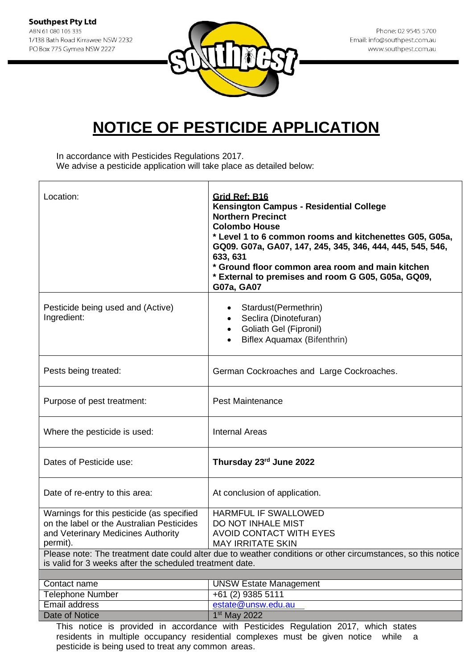

In accordance with Pesticides Regulations 2017. We advise a pesticide application will take place as detailed below:

| Location:                                                                                                                                                                                            | Grid Ref: B16<br><b>Kensington Campus - Residential College</b><br><b>Northern Precinct</b><br><b>Colombo House</b><br>* Level 1 to 6 common rooms and kitchenettes G05, G05a,<br>GQ09. G07a, GA07, 147, 245, 345, 346, 444, 445, 545, 546,<br>633, 631<br>* Ground floor common area room and main kitchen<br>* External to premises and room G G05, G05a, GQ09,<br>G07a, GA07 |
|------------------------------------------------------------------------------------------------------------------------------------------------------------------------------------------------------|---------------------------------------------------------------------------------------------------------------------------------------------------------------------------------------------------------------------------------------------------------------------------------------------------------------------------------------------------------------------------------|
| Pesticide being used and (Active)<br>Ingredient:                                                                                                                                                     | Stardust(Permethrin)<br>$\bullet$<br>Seclira (Dinotefuran)<br>$\bullet$<br>Goliath Gel (Fipronil)<br>$\bullet$<br>Biflex Aquamax (Bifenthrin)                                                                                                                                                                                                                                   |
| Pests being treated:                                                                                                                                                                                 | German Cockroaches and Large Cockroaches.                                                                                                                                                                                                                                                                                                                                       |
| Purpose of pest treatment:                                                                                                                                                                           | <b>Pest Maintenance</b>                                                                                                                                                                                                                                                                                                                                                         |
| Where the pesticide is used:                                                                                                                                                                         | <b>Internal Areas</b>                                                                                                                                                                                                                                                                                                                                                           |
| Dates of Pesticide use:                                                                                                                                                                              | Thursday 23rd June 2022                                                                                                                                                                                                                                                                                                                                                         |
| Date of re-entry to this area:                                                                                                                                                                       | At conclusion of application.                                                                                                                                                                                                                                                                                                                                                   |
| Warnings for this pesticide (as specified<br>on the label or the Australian Pesticides<br>and Veterinary Medicines Authority<br>permit).<br>is valid for 3 weeks after the scheduled treatment date. | <b>HARMFUL IF SWALLOWED</b><br>DO NOT INHALE MIST<br><b>AVOID CONTACT WITH EYES</b><br><b>MAY IRRITATE SKIN</b><br>Please note: The treatment date could alter due to weather conditions or other circumstances, so this notice                                                                                                                                                 |
| Contact name                                                                                                                                                                                         | <b>UNSW Estate Management</b>                                                                                                                                                                                                                                                                                                                                                   |
| <b>Telephone Number</b>                                                                                                                                                                              | +61 (2) 9385 5111                                                                                                                                                                                                                                                                                                                                                               |
| <b>Email address</b>                                                                                                                                                                                 | estate@unsw.edu.au                                                                                                                                                                                                                                                                                                                                                              |
| <b>Date of Notice</b>                                                                                                                                                                                | 1 <sup>st</sup> May 2022                                                                                                                                                                                                                                                                                                                                                        |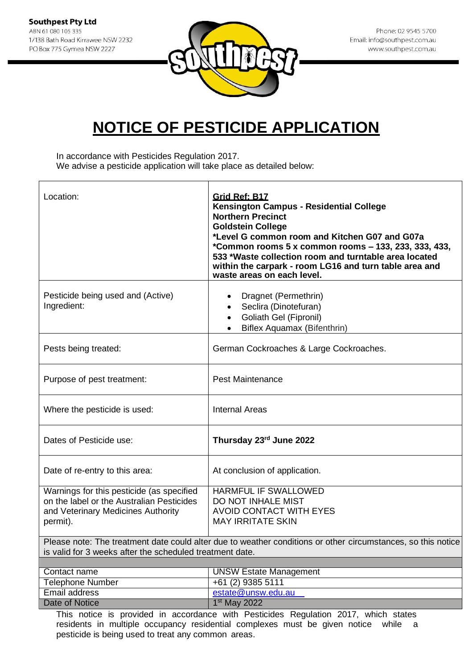![](_page_3_Picture_1.jpeg)

In accordance with Pesticides Regulation 2017. We advise a pesticide application will take place as detailed below:

| Location:                                                                                                                                | Grid Ref: B17<br><b>Kensington Campus - Residential College</b><br><b>Northern Precinct</b><br><b>Goldstein College</b><br>*Level G common room and Kitchen G07 and G07a<br>*Common rooms 5 x common rooms - 133, 233, 333, 433,<br>533 *Waste collection room and turntable area located<br>within the carpark - room LG16 and turn table area and<br>waste areas on each level. |
|------------------------------------------------------------------------------------------------------------------------------------------|-----------------------------------------------------------------------------------------------------------------------------------------------------------------------------------------------------------------------------------------------------------------------------------------------------------------------------------------------------------------------------------|
| Pesticide being used and (Active)<br>Ingredient:                                                                                         | Dragnet (Permethrin)<br>Seclira (Dinotefuran)<br>Goliath Gel (Fipronil)<br>Biflex Aquamax (Bifenthrin)                                                                                                                                                                                                                                                                            |
| Pests being treated:                                                                                                                     | German Cockroaches & Large Cockroaches.                                                                                                                                                                                                                                                                                                                                           |
| Purpose of pest treatment:                                                                                                               | <b>Pest Maintenance</b>                                                                                                                                                                                                                                                                                                                                                           |
| Where the pesticide is used:                                                                                                             | <b>Internal Areas</b>                                                                                                                                                                                                                                                                                                                                                             |
| Dates of Pesticide use:                                                                                                                  | Thursday 23rd June 2022                                                                                                                                                                                                                                                                                                                                                           |
| Date of re-entry to this area:                                                                                                           | At conclusion of application.                                                                                                                                                                                                                                                                                                                                                     |
| Warnings for this pesticide (as specified<br>on the label or the Australian Pesticides<br>and Veterinary Medicines Authority<br>permit). | HARMFUL IF SWALLOWED<br>DO NOT INHALE MIST<br><b>AVOID CONTACT WITH EYES</b><br><b>MAY IRRITATE SKIN</b>                                                                                                                                                                                                                                                                          |
| is valid for 3 weeks after the scheduled treatment date.                                                                                 | Please note: The treatment date could alter due to weather conditions or other circumstances, so this notice                                                                                                                                                                                                                                                                      |
|                                                                                                                                          |                                                                                                                                                                                                                                                                                                                                                                                   |
| Contact name                                                                                                                             | <b>UNSW Estate Management</b>                                                                                                                                                                                                                                                                                                                                                     |
| <b>Telephone Number</b>                                                                                                                  | +61 (2) 9385 5111                                                                                                                                                                                                                                                                                                                                                                 |
| Email address                                                                                                                            | estate@unsw.edu.au                                                                                                                                                                                                                                                                                                                                                                |
| <b>Date of Notice</b>                                                                                                                    | 1 <sup>st</sup> May 2022                                                                                                                                                                                                                                                                                                                                                          |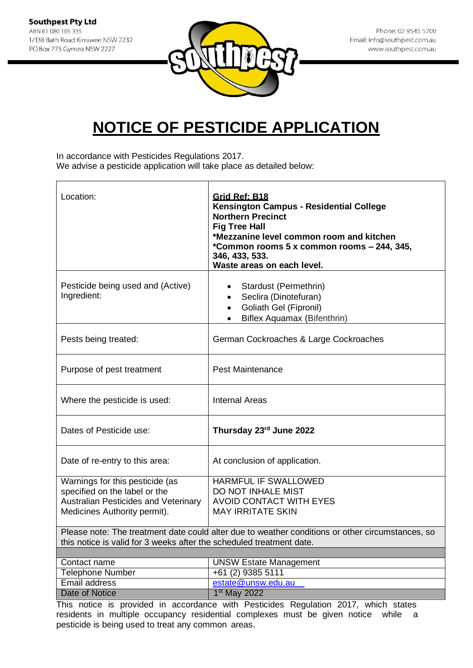![](_page_4_Picture_1.jpeg)

In accordance with Pesticides Regulations 2017.

We advise a pesticide application will take place as detailed below:

| Location:                                                                                                                                                                | Grid Ref: B18<br>Kensington Campus - Residential College<br><b>Northern Precinct</b><br><b>Fig Tree Hall</b><br>*Mezzanine level common room and kitchen<br>*Common rooms 5 x common rooms - 244, 345,<br>346, 433, 533.<br>Waste areas on each level. |
|--------------------------------------------------------------------------------------------------------------------------------------------------------------------------|--------------------------------------------------------------------------------------------------------------------------------------------------------------------------------------------------------------------------------------------------------|
| Pesticide being used and (Active)<br>Ingredient:                                                                                                                         | Stardust (Permethrin)<br>Seclira (Dinotefuran)<br>$\bullet$<br>Goliath Gel (Fipronil)<br>$\bullet$<br>Biflex Aquamax (Bifenthrin)<br>$\bullet$                                                                                                         |
| Pests being treated:                                                                                                                                                     | German Cockroaches & Large Cockroaches                                                                                                                                                                                                                 |
| Purpose of pest treatment                                                                                                                                                | <b>Pest Maintenance</b>                                                                                                                                                                                                                                |
| Where the pesticide is used:                                                                                                                                             | <b>Internal Areas</b>                                                                                                                                                                                                                                  |
| Dates of Pesticide use:                                                                                                                                                  | Thursday 23rd June 2022                                                                                                                                                                                                                                |
| Date of re-entry to this area:                                                                                                                                           | At conclusion of application.                                                                                                                                                                                                                          |
| Warnings for this pesticide (as<br>specified on the label or the<br><b>Australian Pesticides and Veterinary</b><br>Medicines Authority permit).                          | HARMFUL IF SWALLOWED<br>DO NOT INHALE MIST<br><b>AVOID CONTACT WITH EYES</b><br><b>MAY IRRITATE SKIN</b>                                                                                                                                               |
| Please note: The treatment date could alter due to weather conditions or other circumstances, so<br>this notice is valid for 3 weeks after the scheduled treatment date. |                                                                                                                                                                                                                                                        |
|                                                                                                                                                                          |                                                                                                                                                                                                                                                        |
| Contact name                                                                                                                                                             | <b>UNSW Estate Management</b><br>+61 (2) 9385 5111                                                                                                                                                                                                     |
| <b>Telephone Number</b><br><b>Email address</b>                                                                                                                          | estate@unsw.edu.au                                                                                                                                                                                                                                     |
| Date of Notice                                                                                                                                                           | 1 <sup>st</sup> May 2022                                                                                                                                                                                                                               |
|                                                                                                                                                                          |                                                                                                                                                                                                                                                        |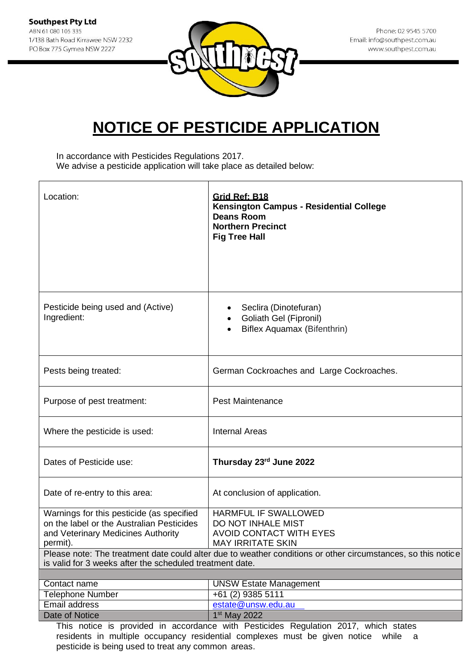![](_page_5_Picture_1.jpeg)

Phone: 02 9545 5700 Email: info@southpest.com.au www.southpest.com.au

## **NOTICE OF PESTICIDE APPLICATION**

In accordance with Pesticides Regulations 2017. We advise a pesticide application will take place as detailed below:

| Location:                                                                                                                                | Grid Ref: B18<br>Kensington Campus - Residential College<br><b>Deans Room</b><br><b>Northern Precinct</b><br><b>Fig Tree Hall</b>                                                                                        |
|------------------------------------------------------------------------------------------------------------------------------------------|--------------------------------------------------------------------------------------------------------------------------------------------------------------------------------------------------------------------------|
| Pesticide being used and (Active)<br>Ingredient:                                                                                         | Seclira (Dinotefuran)<br>Goliath Gel (Fipronil)<br>Biflex Aquamax (Bifenthrin)                                                                                                                                           |
| Pests being treated:                                                                                                                     | German Cockroaches and Large Cockroaches.                                                                                                                                                                                |
| Purpose of pest treatment:                                                                                                               | <b>Pest Maintenance</b>                                                                                                                                                                                                  |
| Where the pesticide is used:                                                                                                             | <b>Internal Areas</b>                                                                                                                                                                                                    |
| Dates of Pesticide use:                                                                                                                  | Thursday 23rd June 2022                                                                                                                                                                                                  |
| Date of re-entry to this area:                                                                                                           | At conclusion of application.                                                                                                                                                                                            |
| Warnings for this pesticide (as specified<br>on the label or the Australian Pesticides<br>and Veterinary Medicines Authority<br>permit). | HARMFUL IF SWALLOWED<br>DO NOT INHALE MIST<br><b>AVOID CONTACT WITH EYES</b><br><b>MAY IRRITATE SKIN</b><br>Please note: The treatment date could alter due to weather conditions or other circumstances, so this notice |
| is valid for 3 weeks after the scheduled treatment date.                                                                                 |                                                                                                                                                                                                                          |
| Contact name                                                                                                                             | <b>UNSW Estate Management</b>                                                                                                                                                                                            |
| <b>Telephone Number</b>                                                                                                                  | +61 (2) 9385 5111                                                                                                                                                                                                        |
| Email address                                                                                                                            | estate@unsw.edu.au                                                                                                                                                                                                       |
| Date of Notice                                                                                                                           | 1 <sup>st</sup> May 2022                                                                                                                                                                                                 |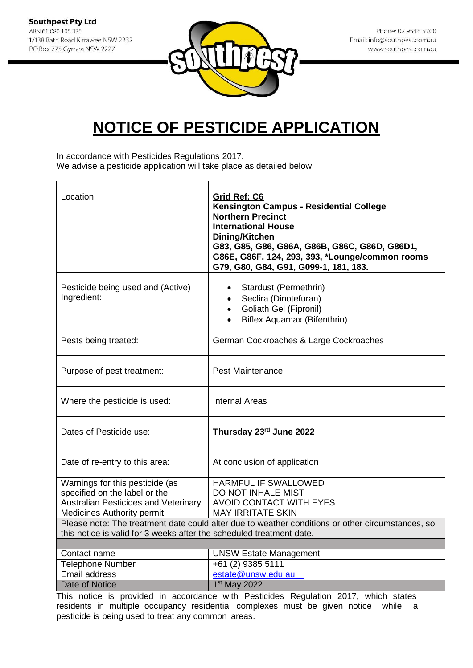![](_page_6_Picture_1.jpeg)

In accordance with Pesticides Regulations 2017.

We advise a pesticide application will take place as detailed below:

| Location:                                                                 | Grid Ref: C6<br>Kensington Campus - Residential College<br><b>Northern Precinct</b><br><b>International House</b><br>Dining/Kitchen<br>G83, G85, G86, G86A, G86B, G86C, G86D, G86D1,<br>G86E, G86F, 124, 293, 393, *Lounge/common rooms<br>G79, G80, G84, G91, G099-1, 181, 183. |
|---------------------------------------------------------------------------|----------------------------------------------------------------------------------------------------------------------------------------------------------------------------------------------------------------------------------------------------------------------------------|
| Pesticide being used and (Active)<br>Ingredient:                          | Stardust (Permethrin)<br>Seclira (Dinotefuran)<br>Goliath Gel (Fipronil)<br>$\bullet$<br>Biflex Aquamax (Bifenthrin)<br>$\bullet$                                                                                                                                                |
| Pests being treated:                                                      | German Cockroaches & Large Cockroaches                                                                                                                                                                                                                                           |
| Purpose of pest treatment:                                                | <b>Pest Maintenance</b>                                                                                                                                                                                                                                                          |
| Where the pesticide is used:                                              | <b>Internal Areas</b>                                                                                                                                                                                                                                                            |
| Dates of Pesticide use:                                                   | Thursday 23rd June 2022                                                                                                                                                                                                                                                          |
| Date of re-entry to this area:                                            | At conclusion of application                                                                                                                                                                                                                                                     |
| Warnings for this pesticide (as                                           | HARMFUL IF SWALLOWED                                                                                                                                                                                                                                                             |
| specified on the label or the                                             | DO NOT INHALE MIST                                                                                                                                                                                                                                                               |
| Australian Pesticides and Veterinary<br><b>Medicines Authority permit</b> | <b>AVOID CONTACT WITH EYES</b><br><b>MAY IRRITATE SKIN</b>                                                                                                                                                                                                                       |
|                                                                           | Please note: The treatment date could alter due to weather conditions or other circumstances, so                                                                                                                                                                                 |
| this notice is valid for 3 weeks after the scheduled treatment date.      |                                                                                                                                                                                                                                                                                  |
|                                                                           |                                                                                                                                                                                                                                                                                  |
| Contact name                                                              | <b>UNSW Estate Management</b>                                                                                                                                                                                                                                                    |
| <b>Telephone Number</b>                                                   | +61 (2) 9385 5111                                                                                                                                                                                                                                                                |
| Email address                                                             | estate@unsw.edu.au                                                                                                                                                                                                                                                               |
| Date of Notice                                                            | 1st May 2022<br>This notice is provided in ecoerdance with Destinides Dequision 2017, which etates                                                                                                                                                                               |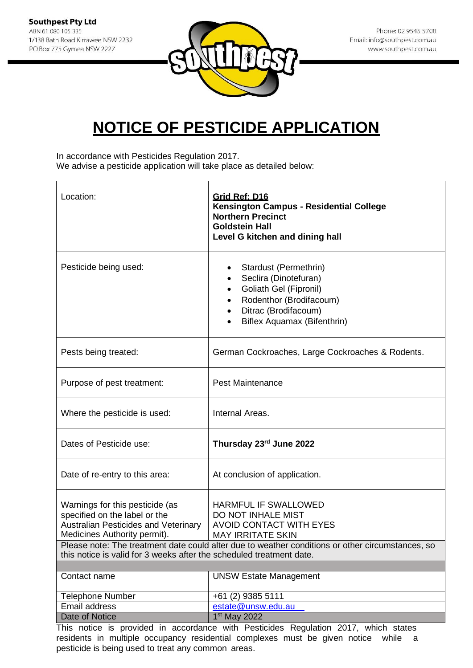![](_page_7_Picture_1.jpeg)

In accordance with Pesticides Regulation 2017.

We advise a pesticide application will take place as detailed below:

| Location:                                                                                                                                                                                                               | Grid Ref: D16<br>Kensington Campus - Residential College<br><b>Northern Precinct</b><br><b>Goldstein Hall</b><br>Level G kitchen and dining hall                                                                    |
|-------------------------------------------------------------------------------------------------------------------------------------------------------------------------------------------------------------------------|---------------------------------------------------------------------------------------------------------------------------------------------------------------------------------------------------------------------|
| Pesticide being used:                                                                                                                                                                                                   | Stardust (Permethrin)<br>Seclira (Dinotefuran)<br>Goliath Gel (Fipronil)<br>$\bullet$<br>Rodenthor (Brodifacoum)<br>Ditrac (Brodifacoum)<br>Biflex Aquamax (Bifenthrin)                                             |
| Pests being treated:                                                                                                                                                                                                    | German Cockroaches, Large Cockroaches & Rodents.                                                                                                                                                                    |
| Purpose of pest treatment:                                                                                                                                                                                              | <b>Pest Maintenance</b>                                                                                                                                                                                             |
| Where the pesticide is used:                                                                                                                                                                                            | Internal Areas.                                                                                                                                                                                                     |
| Dates of Pesticide use:                                                                                                                                                                                                 | Thursday 23rd June 2022                                                                                                                                                                                             |
| Date of re-entry to this area:                                                                                                                                                                                          | At conclusion of application.                                                                                                                                                                                       |
| Warnings for this pesticide (as<br>specified on the label or the<br><b>Australian Pesticides and Veterinary</b><br>Medicines Authority permit).<br>this notice is valid for 3 weeks after the scheduled treatment date. | <b>HARMFUL IF SWALLOWED</b><br>DO NOT INHALE MIST<br><b>AVOID CONTACT WITH EYES</b><br><b>MAY IRRITATE SKIN</b><br>Please note: The treatment date could alter due to weather conditions or other circumstances, so |
|                                                                                                                                                                                                                         |                                                                                                                                                                                                                     |
| Contact name                                                                                                                                                                                                            | <b>UNSW Estate Management</b>                                                                                                                                                                                       |
| <b>Telephone Number</b>                                                                                                                                                                                                 | +61 (2) 9385 5111                                                                                                                                                                                                   |
| Email address                                                                                                                                                                                                           | estate@unsw.edu.au                                                                                                                                                                                                  |
| Date of Notice                                                                                                                                                                                                          | 1 <sup>st</sup> May 2022                                                                                                                                                                                            |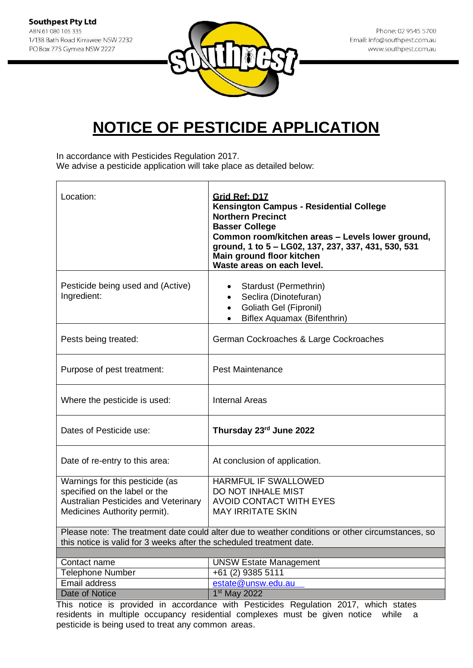![](_page_8_Picture_1.jpeg)

In accordance with Pesticides Regulation 2017.

We advise a pesticide application will take place as detailed below:

| Location:                                                                                                                                       | Grid Ref: D17<br>Kensington Campus - Residential College<br><b>Northern Precinct</b><br><b>Basser College</b><br>Common room/kitchen areas - Levels lower ground,<br>ground, 1 to 5 - LG02, 137, 237, 337, 431, 530, 531<br>Main ground floor kitchen<br>Waste areas on each level. |
|-------------------------------------------------------------------------------------------------------------------------------------------------|-------------------------------------------------------------------------------------------------------------------------------------------------------------------------------------------------------------------------------------------------------------------------------------|
| Pesticide being used and (Active)<br>Ingredient:                                                                                                | Stardust (Permethrin)<br>Seclira (Dinotefuran)<br>$\bullet$<br>Goliath Gel (Fipronil)<br>$\bullet$<br>Biflex Aquamax (Bifenthrin)<br>$\bullet$                                                                                                                                      |
| Pests being treated:                                                                                                                            | German Cockroaches & Large Cockroaches                                                                                                                                                                                                                                              |
| Purpose of pest treatment:                                                                                                                      | Pest Maintenance                                                                                                                                                                                                                                                                    |
| Where the pesticide is used:                                                                                                                    | <b>Internal Areas</b>                                                                                                                                                                                                                                                               |
| Dates of Pesticide use:                                                                                                                         | Thursday 23rd June 2022                                                                                                                                                                                                                                                             |
| Date of re-entry to this area:                                                                                                                  | At conclusion of application.                                                                                                                                                                                                                                                       |
| Warnings for this pesticide (as<br>specified on the label or the<br><b>Australian Pesticides and Veterinary</b><br>Medicines Authority permit). | HARMFUL IF SWALLOWED<br>DO NOT INHALE MIST<br>AVOID CONTACT WITH EYES<br><b>MAY IRRITATE SKIN</b>                                                                                                                                                                                   |
| this notice is valid for 3 weeks after the scheduled treatment date.                                                                            | Please note: The treatment date could alter due to weather conditions or other circumstances, so                                                                                                                                                                                    |
| Contact name                                                                                                                                    | <b>UNSW Estate Management</b>                                                                                                                                                                                                                                                       |
| <b>Telephone Number</b>                                                                                                                         | +61 (2) 9385 5111                                                                                                                                                                                                                                                                   |
| Email address                                                                                                                                   | estate@unsw.edu.au                                                                                                                                                                                                                                                                  |
| Date of Notice                                                                                                                                  | 1 <sup>st</sup> May 2022                                                                                                                                                                                                                                                            |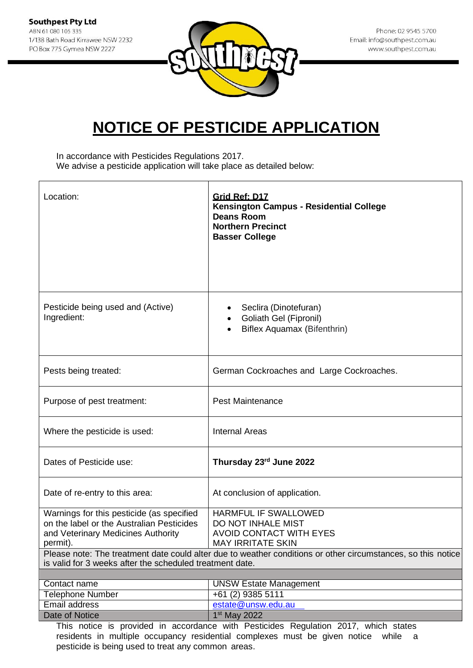![](_page_9_Picture_1.jpeg)

Phone: 02 9545 5700 Email: info@southpest.com.au www.southpest.com.au

### **NOTICE OF PESTICIDE APPLICATION**

In accordance with Pesticides Regulations 2017. We advise a pesticide application will take place as detailed below:

| Location:                                                                                                                                | Grid Ref: D17<br>Kensington Campus - Residential College<br><b>Deans Room</b><br><b>Northern Precinct</b>    |
|------------------------------------------------------------------------------------------------------------------------------------------|--------------------------------------------------------------------------------------------------------------|
|                                                                                                                                          | <b>Basser College</b>                                                                                        |
| Pesticide being used and (Active)<br>Ingredient:                                                                                         | Seclira (Dinotefuran)<br>Goliath Gel (Fipronil)<br>Biflex Aquamax (Bifenthrin)                               |
| Pests being treated:                                                                                                                     | German Cockroaches and Large Cockroaches.                                                                    |
| Purpose of pest treatment:                                                                                                               | <b>Pest Maintenance</b>                                                                                      |
| Where the pesticide is used:                                                                                                             | <b>Internal Areas</b>                                                                                        |
| Dates of Pesticide use:                                                                                                                  | Thursday 23rd June 2022                                                                                      |
| Date of re-entry to this area:                                                                                                           | At conclusion of application.                                                                                |
| Warnings for this pesticide (as specified<br>on the label or the Australian Pesticides<br>and Veterinary Medicines Authority<br>permit). | HARMFUL IF SWALLOWED<br>DO NOT INHALE MIST<br>AVOID CONTACT WITH EYES<br><b>MAY IRRITATE SKIN</b>            |
| is valid for 3 weeks after the scheduled treatment date.                                                                                 | Please note: The treatment date could alter due to weather conditions or other circumstances, so this notice |
| Contact name                                                                                                                             | <b>UNSW Estate Management</b>                                                                                |
| <b>Telephone Number</b>                                                                                                                  | +61 (2) 9385 5111                                                                                            |
| Email address                                                                                                                            | estate@unsw.edu.au                                                                                           |
| Date of Notice                                                                                                                           | 1 <sup>st</sup> May 2022                                                                                     |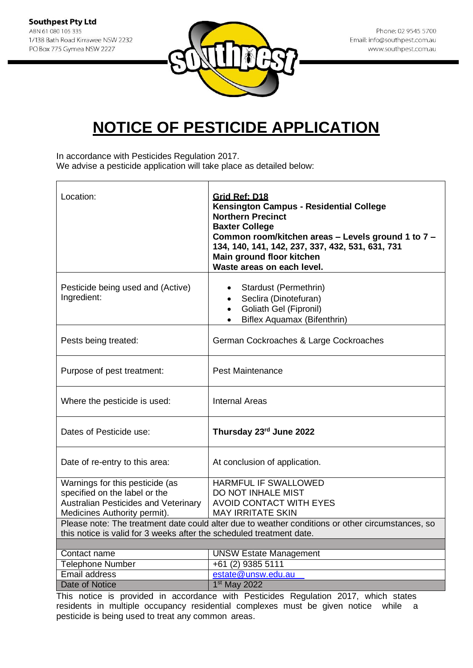![](_page_10_Picture_1.jpeg)

In accordance with Pesticides Regulation 2017.

We advise a pesticide application will take place as detailed below:

| Location:                                                                                                                                       | Grid Ref: D18<br>Kensington Campus - Residential College<br><b>Northern Precinct</b><br><b>Baxter College</b><br>Common room/kitchen areas - Levels ground 1 to 7 -<br>134, 140, 141, 142, 237, 337, 432, 531, 631, 731<br>Main ground floor kitchen<br>Waste areas on each level. |
|-------------------------------------------------------------------------------------------------------------------------------------------------|------------------------------------------------------------------------------------------------------------------------------------------------------------------------------------------------------------------------------------------------------------------------------------|
| Pesticide being used and (Active)<br>Ingredient:                                                                                                | Stardust (Permethrin)<br>Seclira (Dinotefuran)<br><b>Goliath Gel (Fipronil)</b><br>$\bullet$<br><b>Biflex Aquamax (Bifenthrin)</b><br>$\bullet$                                                                                                                                    |
| Pests being treated:                                                                                                                            | German Cockroaches & Large Cockroaches                                                                                                                                                                                                                                             |
| Purpose of pest treatment:                                                                                                                      | <b>Pest Maintenance</b>                                                                                                                                                                                                                                                            |
| Where the pesticide is used:                                                                                                                    | <b>Internal Areas</b>                                                                                                                                                                                                                                                              |
| Dates of Pesticide use:                                                                                                                         | Thursday 23rd June 2022                                                                                                                                                                                                                                                            |
| Date of re-entry to this area:                                                                                                                  | At conclusion of application.                                                                                                                                                                                                                                                      |
| Warnings for this pesticide (as<br>specified on the label or the<br><b>Australian Pesticides and Veterinary</b><br>Medicines Authority permit). | <b>HARMFUL IF SWALLOWED</b><br>DO NOT INHALE MIST<br><b>AVOID CONTACT WITH EYES</b><br><b>MAY IRRITATE SKIN</b>                                                                                                                                                                    |
| this notice is valid for 3 weeks after the scheduled treatment date.                                                                            | Please note: The treatment date could alter due to weather conditions or other circumstances, so                                                                                                                                                                                   |
| Contact name                                                                                                                                    | <b>UNSW Estate Management</b>                                                                                                                                                                                                                                                      |
| <b>Telephone Number</b>                                                                                                                         | +61 (2) 9385 5111                                                                                                                                                                                                                                                                  |
| Email address                                                                                                                                   | estate@unsw.edu.au                                                                                                                                                                                                                                                                 |
| <b>Date of Notice</b>                                                                                                                           | 1st May 2022                                                                                                                                                                                                                                                                       |
|                                                                                                                                                 |                                                                                                                                                                                                                                                                                    |